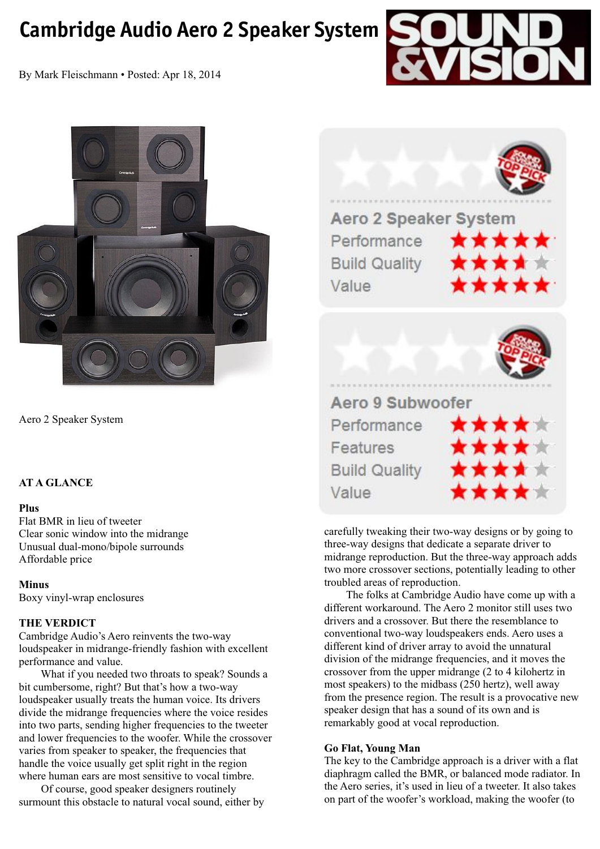# **Cambridge Audio Aero 2 Speaker System**



By Mark Fleischmann • Posted: Apr 18, 2014



Aero 2 Speaker System

# **AT A GLANCE**

#### **Plus**

Flat BMR in lieu of tweeter Clear sonic window into the midrange Unusual dual-mono/bipole surrounds Affordable price

#### **Minus**

Boxy vinyl-wrap enclosures

# **THE VERDICT**

Cambridge Audio's Aero reinvents the two-way loudspeaker in midrange-friendly fashion with excellent performance and value.

 What if you needed two throats to speak? Sounds a bit cumbersome, right? But that's how a two-way loudspeaker usually treats the human voice. Its drivers divide the midrange frequencies where the voice resides into two parts, sending higher frequencies to the tweeter and lower frequencies to the woofer. While the crossover varies from speaker to speaker, the frequencies that handle the voice usually get split right in the region where human ears are most sensitive to vocal timbre.

 Of course, good speaker designers routinely surmount this obstacle to natural vocal sound, either by



**Features Build Quality** Value

carefully tweaking their two-way designs or by going to three-way designs that dedicate a separate driver to midrange reproduction. But the three-way approach adds two more crossover sections, potentially leading to other troubled areas of reproduction.

 The folks at Cambridge Audio have come up with a different workaround. The Aero 2 monitor still uses two drivers and a crossover. But there the resemblance to conventional two-way loudspeakers ends. Aero uses a different kind of driver array to avoid the unnatural division of the midrange frequencies, and it moves the crossover from the upper midrange (2 to 4 kilohertz in most speakers) to the midbass (250 hertz), well away from the presence region. The result is a provocative new speaker design that has a sound of its own and is remarkably good at vocal reproduction.

# **Go Flat, Young Man**

The key to the Cambridge approach is a driver with a flat diaphragm called the BMR, or balanced mode radiator. In the Aero series, it's used in lieu of a tweeter. It also takes on part of the woofer's workload, making the woofer (to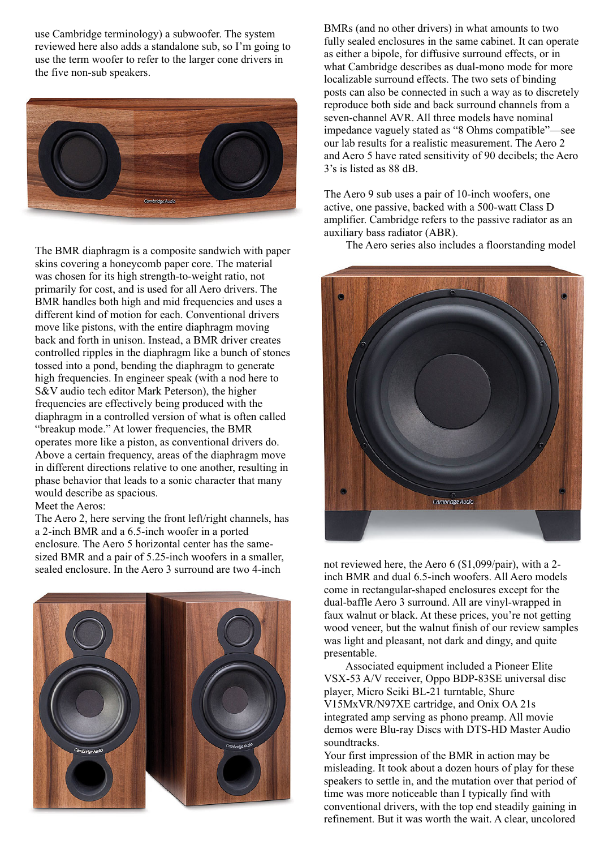use Cambridge terminology) a subwoofer. The system reviewed here also adds a standalone sub, so I'm going to use the term woofer to refer to the larger cone drivers in the five non-sub speakers.



The BMR diaphragm is a composite sandwich with paper skins covering a honeycomb paper core. The material was chosen for its high strength-to-weight ratio, not primarily for cost, and is used for all Aero drivers. The BMR handles both high and mid frequencies and uses a different kind of motion for each. Conventional drivers move like pistons, with the entire diaphragm moving back and forth in unison. Instead, a BMR driver creates controlled ripples in the diaphragm like a bunch of stones tossed into a pond, bending the diaphragm to generate high frequencies. In engineer speak (with a nod here to S&V audio tech editor Mark Peterson), the higher frequencies are effectively being produced with the diaphragm in a controlled version of what is often called "breakup mode." At lower frequencies, the BMR operates more like a piston, as conventional drivers do. Above a certain frequency, areas of the diaphragm move in different directions relative to one another, resulting in phase behavior that leads to a sonic character that many would describe as spacious.

Meet the Aeros:

The Aero 2, here serving the front left/right channels, has a 2-inch BMR and a 6.5-inch woofer in a ported enclosure. The Aero 5 horizontal center has the samesized BMR and a pair of 5.25-inch woofers in a smaller, sealed enclosure. In the Aero 3 surround are two 4-inch



BMRs (and no other drivers) in what amounts to two fully sealed enclosures in the same cabinet. It can operate as either a bipole, for diffusive surround effects, or in what Cambridge describes as dual-mono mode for more localizable surround effects. The two sets of binding posts can also be connected in such a way as to discretely reproduce both side and back surround channels from a seven-channel AVR. All three models have nominal impedance vaguely stated as "8 Ohms compatible"—see our lab results for a realistic measurement. The Aero 2 and Aero 5 have rated sensitivity of 90 decibels; the Aero 3's is listed as 88 dB.

The Aero 9 sub uses a pair of 10-inch woofers, one active, one passive, backed with a 500-watt Class D amplifier. Cambridge refers to the passive radiator as an auxiliary bass radiator (ABR).

The Aero series also includes a floorstanding model



not reviewed here, the Aero 6 (\$1,099/pair), with a 2 inch BMR and dual 6.5-inch woofers. All Aero models come in rectangular-shaped enclosures except for the dual-baffle Aero 3 surround. All are vinyl-wrapped in faux walnut or black. At these prices, you're not getting wood veneer, but the walnut finish of our review samples was light and pleasant, not dark and dingy, and quite presentable.

 Associated equipment included a Pioneer Elite VSX-53 A/V receiver, Oppo BDP-83SE universal disc player, Micro Seiki BL-21 turntable, Shure V15MxVR/N97XE cartridge, and Onix OA 21s integrated amp serving as phono preamp. All movie demos were Blu-ray Discs with DTS-HD Master Audio soundtracks.

Your first impression of the BMR in action may be misleading. It took about a dozen hours of play for these speakers to settle in, and the mutation over that period of time was more noticeable than I typically find with conventional drivers, with the top end steadily gaining in refinement. But it was worth the wait. A clear, uncolored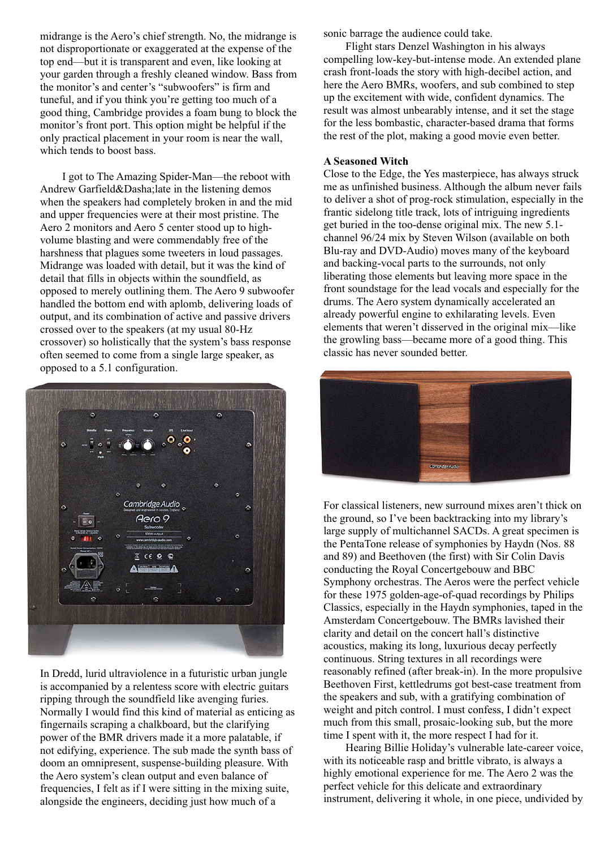midrange is the Aero's chief strength. No, the midrange is not disproportionate or exaggerated at the expense of the top end—but it is transparent and even, like looking at your garden through a freshly cleaned window. Bass from the monitor's and center's "subwoofers" is firm and tuneful, and if you think you're getting too much of a good thing, Cambridge provides a foam bung to block the monitor's front port. This option might be helpful if the only practical placement in your room is near the wall, which tends to boost bass.

 I got to The Amazing Spider-Man—the reboot with Andrew Garfield&Dasha;late in the listening demos when the speakers had completely broken in and the mid and upper frequencies were at their most pristine. The Aero 2 monitors and Aero 5 center stood up to highvolume blasting and were commendably free of the harshness that plagues some tweeters in loud passages. Midrange was loaded with detail, but it was the kind of detail that fills in objects within the soundfield, as opposed to merely outlining them. The Aero 9 subwoofer handled the bottom end with aplomb, delivering loads of output, and its combination of active and passive drivers crossed over to the speakers (at my usual 80-Hz crossover) so holistically that the system's bass response often seemed to come from a single large speaker, as opposed to a 5.1 configuration.



In Dredd, lurid ultraviolence in a futuristic urban jungle is accompanied by a relentess score with electric guitars ripping through the soundfield like avenging furies. Normally I would find this kind of material as enticing as fingernails scraping a chalkboard, but the clarifying power of the BMR drivers made it a more palatable, if not edifying, experience. The sub made the synth bass of doom an omnipresent, suspense-building pleasure. With the Aero system's clean output and even balance of frequencies, I felt as if I were sitting in the mixing suite, alongside the engineers, deciding just how much of a

sonic barrage the audience could take.

 Flight stars Denzel Washington in his always compelling low-key-but-intense mode. An extended plane crash front-loads the story with high-decibel action, and here the Aero BMRs, woofers, and sub combined to step up the excitement with wide, confident dynamics. The result was almost unbearably intense, and it set the stage for the less bombastic, character-based drama that forms the rest of the plot, making a good movie even better.

#### **A Seasoned Witch**

Close to the Edge, the Yes masterpiece, has always struck me as unfinished business. Although the album never fails to deliver a shot of prog-rock stimulation, especially in the frantic sidelong title track, lots of intriguing ingredients get buried in the too-dense original mix. The new 5.1 channel 96/24 mix by Steven Wilson (available on both Blu-ray and DVD-Audio) moves many of the keyboard and backing-vocal parts to the surrounds, not only liberating those elements but leaving more space in the front soundstage for the lead vocals and especially for the drums. The Aero system dynamically accelerated an already powerful engine to exhilarating levels. Even elements that weren't disserved in the original mix—like the growling bass—became more of a good thing. This classic has never sounded better.



For classical listeners, new surround mixes aren't thick on the ground, so I've been backtracking into my library's large supply of multichannel SACDs. A great specimen is the PentaTone release of symphonies by Haydn (Nos. 88 and 89) and Beethoven (the first) with Sir Colin Davis conducting the Royal Concertgebouw and BBC Symphony orchestras. The Aeros were the perfect vehicle for these 1975 golden-age-of-quad recordings by Philips Classics, especially in the Haydn symphonies, taped in the Amsterdam Concertgebouw. The BMRs lavished their clarity and detail on the concert hall's distinctive acoustics, making its long, luxurious decay perfectly continuous. String textures in all recordings were reasonably refined (after break-in). In the more propulsive Beethoven First, kettledrums got best-case treatment from the speakers and sub, with a gratifying combination of weight and pitch control. I must confess, I didn't expect much from this small, prosaic-looking sub, but the more time I spent with it, the more respect I had for it.

 Hearing Billie Holiday's vulnerable late-career voice, with its noticeable rasp and brittle vibrato, is always a highly emotional experience for me. The Aero 2 was the perfect vehicle for this delicate and extraordinary instrument, delivering it whole, in one piece, undivided by